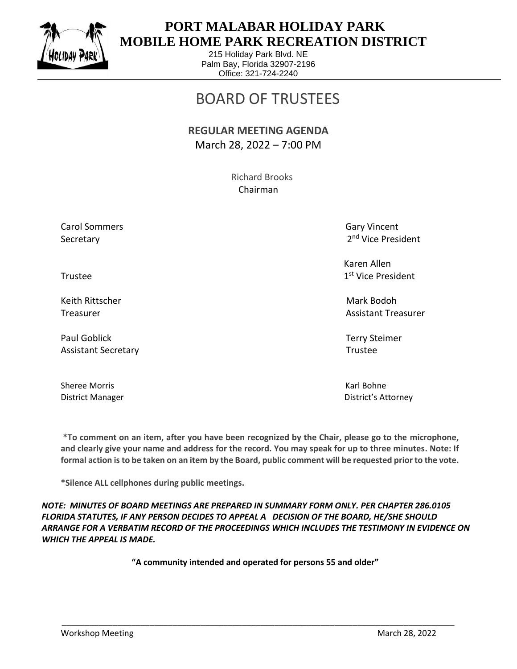

 $\overline{a}$ 

## **PORT MALABAR HOLIDAY PARK MOBILE HOME PARK RECREATION DISTRICT**

215 Holiday Park Blvd. NE Palm Bay, Florida 32907-2196 Office: 321-724-2240

# BOARD OF TRUSTEES

#### **REGULAR MEETING AGENDA** March 28, 2022 – 7:00 PM

 Richard Brooks Chairman

Carol Sommers Gary Vincent Secretary

2<sup>nd</sup> Vice President

 Karen Allen 1st Vice President

Treasurer Assistant Treasurer Assistant Treasurer Assistant Treasurer Assistant Treasurer

District Manager District's Attorney

Trustee and the state of the state of the state of the state of the state of the state of the state of the state of the state of the state of the state of the state of the state of the state of the state of the state of th

Keith Rittscher Mark Bodoh (Mark Bodoh Mark Bodoh Mark Bodoh Mark Bodoh Mark Bodoh Mark Bodoh Mark Bodoh Mark

Paul Goblick Terry Steimer Assistant Secretary **Trustee** 

Sheree Morris **Karl Bohne** Karl Bohne

**\*To comment on an item, after you have been recognized by the Chair, please go to the microphone, and clearly give your name and address for the record. You may speak for up to three minutes. Note: If formal action is to be taken on an item by the Board, public comment will be requested prior to the vote.**

**\*Silence ALL cellphones during public meetings.**

*NOTE: MINUTES OF BOARD MEETINGS ARE PREPARED IN SUMMARY FORM ONLY. PER CHAPTER 286.0105 FLORIDA STATUTES, IF ANY PERSON DECIDES TO APPEAL A DECISION OF THE BOARD, HE/SHE SHOULD ARRANGE FOR A VERBATIM RECORD OF THE PROCEEDINGS WHICH INCLUDES THE TESTIMONY IN EVIDENCE ON WHICH THE APPEAL IS MADE.*

**"A community intended and operated for persons 55 and older"**

\_\_\_\_\_\_\_\_\_\_\_\_\_\_\_\_\_\_\_\_\_\_\_\_\_\_\_\_\_\_\_\_\_\_\_\_\_\_\_\_\_\_\_\_\_\_\_\_\_\_\_\_\_\_\_\_\_\_\_\_\_\_\_\_\_\_\_\_\_\_\_\_\_\_\_\_\_\_\_\_\_\_\_\_\_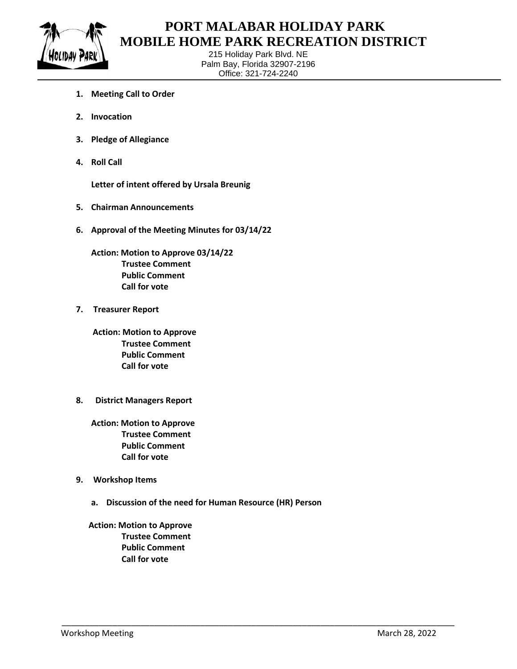

 $\overline{a}$ 

### **PORT MALABAR HOLIDAY PARK MOBILE HOME PARK RECREATION DISTRICT**

215 Holiday Park Blvd. NE Palm Bay, Florida 32907-2196 Office: 321-724-2240

- **1. Meeting Call to Order**
- **2. Invocation**
- **3. Pledge of Allegiance**
- **4. Roll Call**

**Letter of intent offered by Ursala Breunig**

- **5. Chairman Announcements**
- **6. Approval of the Meeting Minutes for 03/14/22**

**Action: Motion to Approve 03/14/22 Trustee Comment Public Comment Call for vote**

**7. Treasurer Report**

 **Action: Motion to Approve Trustee Comment Public Comment Call for vote**

**8. District Managers Report**

**Action: Motion to Approve Trustee Comment Public Comment Call for vote**

- **9. Workshop Items**
	- **a. Discussion of the need for Human Resource (HR) Person**

\_\_\_\_\_\_\_\_\_\_\_\_\_\_\_\_\_\_\_\_\_\_\_\_\_\_\_\_\_\_\_\_\_\_\_\_\_\_\_\_\_\_\_\_\_\_\_\_\_\_\_\_\_\_\_\_\_\_\_\_\_\_\_\_\_\_\_\_\_\_\_\_\_\_\_\_\_\_\_\_\_\_\_\_\_

 **Action: Motion to Approve Trustee Comment Public Comment Call for vote**